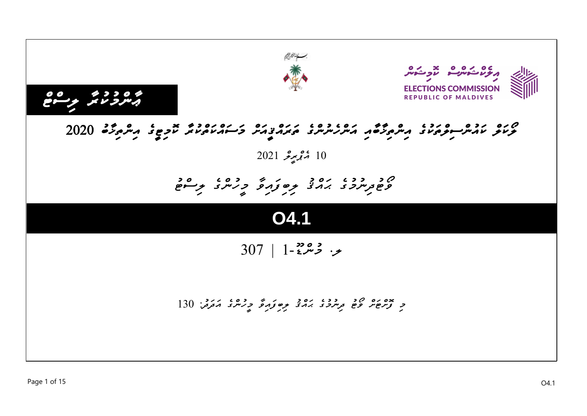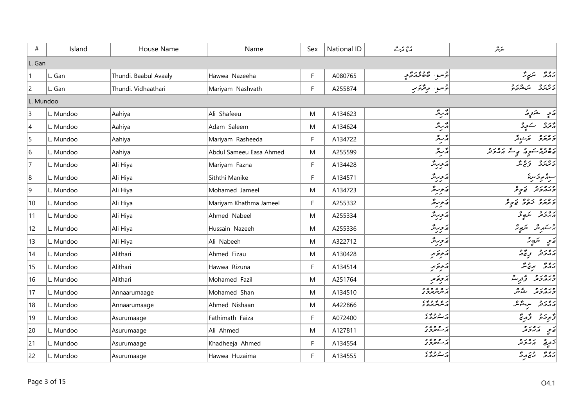| #              | Island    | House Name            | Name                    | Sex       | National ID | ېره پر شه                                                                             | يترمثر                           |
|----------------|-----------|-----------------------|-------------------------|-----------|-------------|---------------------------------------------------------------------------------------|----------------------------------|
| L. Gan         |           |                       |                         |           |             |                                                                                       |                                  |
|                | L. Gan    | Thundi. Baabul Avaaly | Hawwa Nazeeha           | F         | A080765     | $\left  \begin{smallmatrix} 2 & 0 & 2 & 6 \\ 2 & 0 & 2 & 6 \end{smallmatrix} \right $ | رَهُ وَ سَيِيرٌ                  |
| $\overline{c}$ | L. Gan    | Thundi. Vidhaathari   | Mariyam Nashvath        | F         | A255874     | پرسو <sub>ا</sub> پروگرسمبر                                                           | رەرە برەرد                       |
| L. Mundoo      |           |                       |                         |           |             |                                                                                       |                                  |
| $\overline{3}$ | L. Mundoo | Aahiya                | Ali Shafeeu             | ${\sf M}$ | A134623     | ومجر وتر                                                                              | أركمني المستوفي أرجم             |
| 4              | L. Mundoo | Aahiya                | Adam Saleem             | M         | A134624     | وشرير                                                                                 | وره خوځ                          |
| 5              | L. Mundoo | Aahiya                | Mariyam Rasheeda        | F         | A134722     | پر<br>مرسر                                                                            | رەرە بەجە                        |
| 6              | L. Mundoo | Aahiya                | Abdul Sameeu Easa Ahmed | ${\sf M}$ | A255599     | ومريز                                                                                 | גם כם התבת תשיא הסגב             |
| 7              | L. Mundoo | Ali Hiya              | Mariyam Fazna           | F         | A134428     | ە بەر                                                                                 | رەرە رەش                         |
| 8              | L. Mundoo | Ali Hiya              | Siththi Manike          | F         | A134571     | ەكەرىدىگە<br>--                                                                       | سەھ بەر ئەرىئا<br>كەنبەر كەنبەر  |
| 9              | L. Mundoo | Ali Hiya              | Mohamed Jameel          | M         | A134723     | لەردىر<br>--                                                                          |                                  |
| 10             | L. Mundoo | Ali Hiya              | Mariyam Khathma Jameel  | F         | A255332     | ە بەر                                                                                 | رەرە بردە ب                      |
| 11             | L. Mundoo | Ali Hiya              | Ahmed Nabeel            | M         | A255334     | ە بەر پە                                                                              | גפיג תופי                        |
| 12             | L. Mundoo | Ali Hiya              | Hussain Nazeeh          | M         | A255336     | ە ئەرىر                                                                               | يز شەر شەر سىي 2                 |
| 13             | L. Mundoo | Ali Hiya              | Ali Nabeeh              | ${\sf M}$ | A322712     | ە بەر                                                                                 | أيمو الكهرج                      |
| 14             | L. Mundoo | Alithari              | Ahmed Fizau             | ${\sf M}$ | A130428     | وكمعرضو سر                                                                            | أزورو ويجاز                      |
| 15             | L. Mundoo | Alithari              | Hawwa Rizuna            | F         | A134514     | وكمرمونمر                                                                             | رە ئەرىخ ئىر                     |
| 16             | L. Mundoo | Alithari              | Mohamed Fazil           | M         | A251764     | وأوهومر                                                                               | ورەرو ئىرت                       |
| 17             | L. Mundoo | Annaarumaage          | Mohamed Shan            | M         | A134510     | ر ۵ ۶ ۶ و ۶<br>د سرسربرو د                                                            | ستگەنگر<br>و ره ر د<br>تر پر ژنر |
| 18             | L. Mundoo | Annaarumaage          | Ahmed Nishaan           | M         | A422866     | ر ۵ ۵ و و ۷<br>د سرس پرو د                                                            | رەرد سىشەر                       |
| 19             | L. Mundoo | Asurumaage            | Fathimath Faiza         | F         | A072400     | ر د د ده ،<br>د سنترو د                                                               | قُودَةُ قَدِيَّ                  |
| 20             | L. Mundoo | Asurumaage            | Ali Ahmed               | M         | A127811     | ر د د وه و<br>مرسومرو د                                                               | أتمنح أترجعه                     |
| 21             | L. Mundoo | Asurumaage            | Khadheeja Ahmed         | F.        | A134554     | ر د د ده ،<br>د سنور د                                                                | زَمْرِيحٌ كَمَدْوَمْرٌ           |
| 22             | L. Mundoo | Asurumaage            | Hawwa Huzaima           | F.        | A134555     | ر د د ده ،<br>د سنترو د                                                               | $5.62$ $5.2$                     |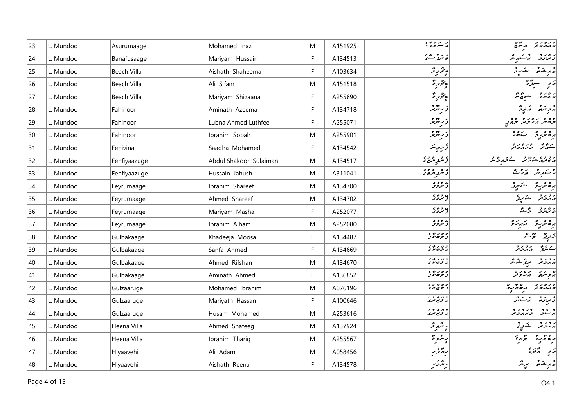| 23 | L. Mundoo | Asurumaage         | Mohamed Inaz           | M         | A151925 | بر و و پر ،<br>مرسومرو <sub>ک</sub> | وبرورو مشج                                |
|----|-----------|--------------------|------------------------|-----------|---------|-------------------------------------|-------------------------------------------|
| 24 | L. Mundoo | Banafusaage        | Mariyam Hussain        | F         | A134513 | پر بر دید ،<br>ح <i>امزنی ک</i>     | ومرده ورمه                                |
| 25 | L. Mundoo | <b>Beach Villa</b> | Aishath Shaheema       | F         | A103634 | جەمھرىقە                            | أقهر مشوقه المشروقة                       |
| 26 | L. Mundoo | <b>Beach Villa</b> | Ali Sifam              | M         | A151518 | ە ئۇرۇ.<br>ئ                        | أەسم بىر ئەرقى                            |
| 27 | L. Mundoo | Beach Villa        | Mariyam Shizaana       | F         | A255690 | ە ئ <sup>ۇ</sup> بوڭر               | رەرە خوتمەر                               |
| 28 | L. Mundoo | Fahinoor           | Aminath Azeema         | F         | A134718 | ۇ بەيترىر                           |                                           |
| 29 | L. Mundoo | Fahinoor           | Lubna Ahmed Luthfee    | F         | A255071 | ۇ بەيترىتر                          |                                           |
| 30 | L. Mundoo | Fahinoor           | Ibrahim Sobah          | ${\sf M}$ | A255901 | ۇرىترىر                             | 2012000                                   |
| 31 | L. Mundoo | Fehivina           | Saadha Mohamed         | F         | A134542 | ڈرءِ بئر                            | كرويز ورورو                               |
| 32 | L. Mundoo | Fenfiyaazuge       | Abdul Shakoor Sulaiman | M         | A134517 | ژیمو پژیز                           | גם כם גדרך כבי כך.<br>הסתה ביטית היכה כית |
| 33 | L. Mundoo | Fenfiyaazuge       | Hussain Jahush         | M         | A311041 | ئۇ شرىر ش <sup>ىرى</sup> ئ          | جرسكم يداريقه                             |
| 34 | L. Mundoo | Feyrumaage         | Ibrahim Shareef        | M         | A134700 | ، و » ،<br> تو بوری                 | ە ئەرە ئىسىر<br>مەھمەرە ئىسىر             |
| 35 | L. Mundoo | Feyrumaage         | Ahmed Shareef          | M         | A134702 | در و در د<br>تو بور <del>و</del> و  | رەرو خىرو                                 |
| 36 | L. Mundoo | Feyrumaage         | Mariyam Masha          | F         | A252077 | پر و در بر<br>  مخرد بر             | أو مرمره و و شک                           |
| 37 | L. Mundoo | Feyrumaage         | Ibrahim Aiham          | M         | A252080 | در و در د<br>تو بور <del>و</del> و  | $5.22 - 2.22$                             |
| 38 | L. Mundoo | Gulbakaage         | Khadeeja Moosa         | F         | A134487 | و ه د پر د<br>د نوه نو د            | أرَمْرِيعٌ وَرْسٌمُ                       |
| 39 | L. Mundoo | Gulbakaage         | Sanfa Ahmed            | F         | A134669 | د و ر د  ،<br>د نره نړ              | سرعد مردور                                |
| 40 | L. Mundoo | Gulbakaage         | Ahmed Rifshan          | M         | A134670 | و و بر د و<br>د نوه مړي             | أرور بروشكر                               |
| 41 | L. Mundoo | Gulbakaage         | Aminath Ahmed          | F         | A136852 | و ه ر پر پر<br>د نوه مړ             | ה ביתה גם בב                              |
| 42 | L. Mundoo | Gulzaaruge         | Mohamed Ibrahim        | M         | A076196 | و ه پر و ء<br>  د نومځ مرد          | כמחכת חפיציב                              |
| 43 | L. Mundoo | Gulzaaruge         | Mariyath Hassan        | F         | A100646 | و ه پر و ۽<br>  د څرنگ مرد          | لمحمد مركبه بمسكرهم                       |
| 44 | L. Mundoo | Gulzaaruge         | Husam Mohamed          | M         | A253616 | و ه پر و ۽<br><sub>ک</sub> نوبخ بور | و موه وره دو                              |
| 45 | L. Mundoo | Heena Villa        | Ahmed Shafeeg          | M         | A137924 | رېتر <sub>ى قم</sub> ر              | پره پر په شور پخ                          |
| 46 | L. Mundoo | Heena Villa        | Ibrahim Thariq         | M         | A255567 | رېتر <sub>ى قم</sub> ر              |                                           |
| 47 | L. Mundoo | Hiyaavehi          | Ali Adam               | M         | A058456 | ىرەژچە بە                           | أرشح أرترو                                |
| 48 | L. Mundoo | Hiyaavehi          | Aishath Reena          | F         | A134578 | رېژه کړ                             |                                           |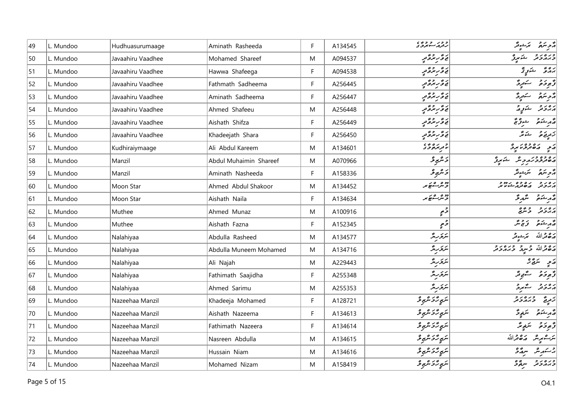| 49 | L. Mundoo | Hudhuasurumaage   | Aminath Rasheeda       | F  | A134545 | و ور _و و پر و<br>رتوبر — برو ی            |                                                                                                                                                                                                                                |
|----|-----------|-------------------|------------------------|----|---------|--------------------------------------------|--------------------------------------------------------------------------------------------------------------------------------------------------------------------------------------------------------------------------------|
| 50 | L. Mundoo | Javaahiru Vaadhee | Mohamed Shareef        | M  | A094537 | ئے قریر ترقی فیر                           | ورەرو شەرۇ                                                                                                                                                                                                                     |
| 51 | L. Mundoo | Javaahiru Vaadhee | Hawwa Shafeega         | F. | A094538 | ئەقرىر قرقرىيە                             | پره پچ<br>شَدَوٍ تَزُ                                                                                                                                                                                                          |
| 52 | L. Mundoo | Javaahiru Vaadhee | Fathmath Sadheema      | F. | A256445 | ر و به حرم مور<br>محمد مرمره مور           | سەمەرگە<br>ۇ بوخ <sup>ى</sup>                                                                                                                                                                                                  |
| 53 | L. Mundoo | Javaahiru Vaadhee | Aminath Sadheema       | F  | A256447 | ئے قریر ترقی میں                           | سەمەرگە<br>ړګر سرچ                                                                                                                                                                                                             |
| 54 | L. Mundoo | Javaahiru Vaadhee | Ahmed Shafeeu          | M  | A256448 | ئەقرىر قرقرىيە                             | رەرو شرور                                                                                                                                                                                                                      |
| 55 | L. Mundoo | Javaahiru Vaadhee | Aishath Shifza         | F  | A256449 | ئەقرىر ترقەمىر                             | شوقر مح<br>م<br>پ <sup>و</sup> مرشوحو<br>مرم                                                                                                                                                                                   |
| 56 | L. Mundoo | Javaahiru Vaadhee | Khadeejath Shara       | F  | A256450 | بر گرېرگرگور                               | أرَسٍ فَمَعْ الشَّوَيْرُ                                                                                                                                                                                                       |
| 57 | L. Mundoo | Kudhiraiymaage    | Ali Abdul Kareem       | M  | A134601 | د په پره وي<br>مانو پره و د                | د ده ده ده ده کرد                                                                                                                                                                                                              |
| 58 | L. Mundoo | Manzil            | Abdul Muhaimin Shareef | M  | A070966 | 5 ئىرى پى                                  | גם כם כזרה כילה ייבית ליידור ביו הייבור ביו הייבור ביו הייבור ביו הייבור ביו הייבור ביו הייבור ביו הייבור ביו<br>הייבור ביו הייבור ביו הייבור ביו הייבור ביו הייבור ביו הייבור ביו הייבור ביו הייבור ביו הייבור ביו הייבור ביו |
| 59 | L. Mundoo | Manzil            | Aminath Nasheeda       | F. | A158336 | ئەشرىپ بۇ                                  | أأروبترة الترشوش                                                                                                                                                                                                               |
| 60 | L. Mundoo | Moon Star         | Ahmed Abdul Shakoor    | M  | A134452 | دد ه ره پر                                 | ره وه درود و<br>پره تر پر شور مر<br>ر ە ر د<br>م.ئرى تىر                                                                                                                                                                       |
| 61 | L. Mundoo | Moon Star         | Aishath Naila          | F  | A134634 | دد ۵ مرچ پر                                | أقرم شكرة التمرقر                                                                                                                                                                                                              |
| 62 | L. Mundoo | Muthee            | Ahmed Munaz            | M  | A100916 | و<br>حرمج                                  | رەرد دىرە                                                                                                                                                                                                                      |
| 63 | L. Mundoo | Muthee            | Aishath Fazna          | F  | A152345 | و<br>حرمج                                  | ە ئەستەم ئەم ئىش                                                                                                                                                                                                               |
| 64 | L. Mundoo | Nalahiyaa         | Abdulla Rasheed        | M  | A134577 | يئر پژرېژ                                  | رەقراللە ىمەسىق                                                                                                                                                                                                                |
| 65 | L. Mundoo | Nalahiyaa         | Abdulla Muneem Mohamed | M  | A134716 | يتزبريتر                                   | رە والله 3 مرد 70 دو                                                                                                                                                                                                           |
| 66 | L. Mundoo | Nalahiyaa         | Ali Najah              | M  | A229443 | يئر پخرېد پېژ                              | يَا جِمْ سَنَةٌ رَ                                                                                                                                                                                                             |
| 67 | L. Mundoo | Nalahiyaa         | Fathimath Saajidha     | F. | A255348 | يتزبزريم                                   | و و ده شور                                                                                                                                                                                                                     |
| 68 | L. Mundoo | Nalahiyaa         | Ahmed Sarimu           | M  | A255353 | يئر پخرېد پېژ                              | رەرو ئىرۇ                                                                                                                                                                                                                      |
| 69 | L. Mundoo | Nazeehaa Manzil   | Khadeeja Mohamed       | F  | A128721 | ىئى <sub>ي</sub> ئەز ئىرىپ <sub>ى</sub> ئە | زَمْرِيحٌ وَرَوْرٌ وَ                                                                                                                                                                                                          |
| 70 | L. Mundoo | Nazeehaa Manzil   | Aishath Nazeema        | F  | A134613 | ىئىي ئەخرىسى بى                            | مەرشى ئىنچ                                                                                                                                                                                                                     |
| 71 | L. Mundoo | Nazeehaa Manzil   | Fathimath Nazeera      | F  | A134614 | ىئەپە <i>ئەكەنگى</i> بۇ                    | قَرْجِرْةُ مَنْ يَرْ                                                                                                                                                                                                           |
| 72 | L. Mundoo | Nazeehaa Manzil   | Nasreen Abdulla        | M  | A134615 | ﯩ <i>ﻜﯩﻲ ﯕﯘ</i> ﻣﯘﻳﯩ                       | ىترىشمىيەش كەھ قىراللە                                                                                                                                                                                                         |
| 73 | L. Mundoo | Nazeehaa Manzil   | Hussain Niam           | M  | A134616 | ى <i>تىپ<sub>ى</sub>ر ئەزىكى بى</i> ر      | بر کے مرکز مرکز د                                                                                                                                                                                                              |
| 74 | L. Mundoo | Nazeehaa Manzil   | Mohamed Nizam          | M  | A158419 | ى <i>كىي گەڭ نىڭ بى</i>                    | ورەرو سۇۋ                                                                                                                                                                                                                      |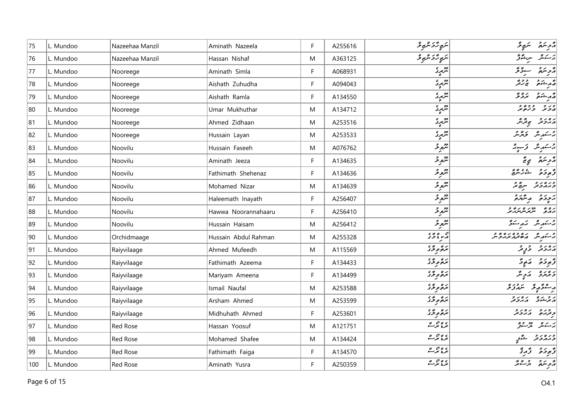| 75  | L. Mundoo | Nazeehaa Manzil | Aminath Nazeela      | F           | A255616 | ىئە <i>پەر ئەكتىمبو</i> ئى      | و بر در منتظر میگیرد.<br>مردم منتظر منتظر                                                            |
|-----|-----------|-----------------|----------------------|-------------|---------|---------------------------------|------------------------------------------------------------------------------------------------------|
| 76  | L. Mundoo | Nazeehaa Manzil | Hassan Nishaf        | M           | A363125 | ىئى <sub>ي</sub> ئەئەتمىي بى    | ىز كەش س <sub>ىرىش</sub> ۇ                                                                           |
| 77  | L. Mundoo | Nooreege        | Aminath Simla        | F           | A068931 | دد<br>مترسمو بر                 | ۇ ئەسىر ئىسىر                                                                                        |
| 78  | L. Mundoo | Nooreege        | Aishath Zuhudha      | F           | A094043 | دد<br>مترسری                    | و در در در در در در در میباشد.<br>مرد استفاده می برد در                                              |
| 79  | L. Mundoo | Nooreege        | Aishath Ramla        | $\mathsf F$ | A134550 | دد<br>مترسری                    | وكركت بروتو                                                                                          |
| 80  | L. Mundoo | Nooreege        | Umar Mukhuthar       | M           | A134712 | دد<br>مترسری                    | ور و و د و د                                                                                         |
| 81  | L. Mundoo | Nooreege        | Ahmed Zidhaan        | M           | A253516 | دد<br>مترسری                    | أرور ويحمد المحافظة                                                                                  |
| 82  | L. Mundoo | Nooreege        | Hussain Layan        | M           | A253533 | دد<br>مترسری                    | رحم والمراد                                                                                          |
| 83  | L. Mundoo | Noovilu         | Hussain Faseeh       | M           | A076762 | لترويحه                         | <u>چرىكى ئۇسۇم</u>                                                                                   |
| 84  | L. Mundoo | Noovilu         | Aminath Jeeza        | $\mathsf F$ | A134635 | يتر <sub>عر قحر</sub>           | أأرد الله المحمدة المحمدة المحمدة المحمدة المحمدة المحمدة المحمدة المحمدة المحمدة المحمدة المحمدة ال |
| 85  | L. Mundoo | Noovilu         | Fathimath Shehenaz   | F           | A134636 | يتروخه                          | و د د دی.<br>ترجوح شرس                                                                               |
| 86  | L. Mundoo | Noovilu         | Mohamed Nizar        | M           | A134639 | يترعر قحه                       | ورەرو سەر                                                                                            |
| 87  | L. Mundoo | Noovilu         | Haleemath Inayath    | $\mathsf F$ | A256407 | يترعر فحر                       | برزدة المتعدد                                                                                        |
| 88  | L. Mundoo | Noovilu         | Hawwa Noorannahaaru  | $\mathsf F$ | A256410 | لترويحه                         | גם 2 הבנים גובר                                                                                      |
| 89  | L. Mundoo | Noovilu         | Hussain Haisam       | M           | A256412 | لترويحه                         | يرحكها الكرامية                                                                                      |
| 90  | L. Mundoo | Orchidmaage     | Hussain Abdul Rahman | M           | A255328 |                                 | وكرده ده وه ده و و                                                                                   |
| 91  | L. Mundoo | Raiyvilaage     | Ahmed Mufeedh        | M           | A115569 | ىرە ھەتىي<br>ئىرقۇمۇتى          | د د د و د د                                                                                          |
| 92  | L. Mundoo | Raiyvilaage     | Fathimath Azeema     | F           | A134433 | رە<br>ئىرە <sub>ۋ</sub> ىرىگە   | تزود قراقباني                                                                                        |
| 93  | L. Mundoo | Raiyvilaage     | Mariyam Ameena       | F           | A134499 | ره<br>بر <sub>حو</sub> مونور    | دەرە ئەدىئە                                                                                          |
| 94  | L. Mundoo | Raiyvilaage     | Ismail Naufal        | M           | A253588 | ره<br>بر <sub>حوم</sub> ور      | ر جۇرپۇ سەزرۇ                                                                                        |
| 95  | L. Mundoo | Raiyvilaage     | Arsham Ahmed         | M           | A253599 | ره<br>مر <sub>گ</sub> وعو څر    | د و ده د د د د                                                                                       |
| 96  | L. Mundoo | Raiyvilaage     | Midhuhath Ahmed      | $\mathsf F$ | A253601 | ره و د ،<br>مره د د د           | و در د در د                                                                                          |
| 97  | L. Mundoo | Red Rose        | Hassan Yoosuf        | M           | A121751 | ، ە ە مەر ھ                     | پرسە پىر جوم                                                                                         |
| 98  | L. Mundoo | Red Rose        | Mohamed Shafee       | M           | A134424 | ، ە ەر<br>بىر <b>ب</b> ە ئىرىسە | ورەر د شگړ                                                                                           |
| 99  | L. Mundoo | Red Rose        | Fathimath Faiga      | F.          | A134570 | <sup>ی ہ م</sup> ی ہے           | وَجوحَةً وَمِنَّى                                                                                    |
| 100 | L. Mundoo | Red Rose        | Aminath Yusra        | F           | A250359 | <sup>ی ہ م</sup> ی ہے           | و المعرض المسلم المسلم                                                                               |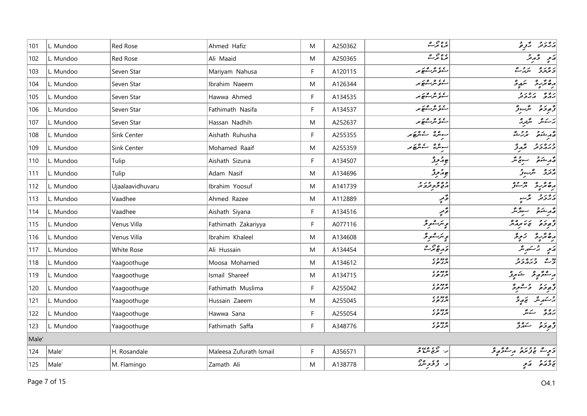| 101   | L. Mundoo | Red Rose          | Ahmed Hafiz             | M           | A250362 | <sup>ي ه 0</sup> مر م                 | رەر ئەرنى                                               |
|-------|-----------|-------------------|-------------------------|-------------|---------|---------------------------------------|---------------------------------------------------------|
| 102   | L. Mundoo | Red Rose          | Ali Maaid               | M           | A250365 | ، ە ە مەر<br>مون <sub>ى</sub> مىرىسە  | ړې د پر                                                 |
| 103   | L. Mundoo | Seven Star        | Mariyam Nahusa          | $\mathsf F$ | A120115 | ے پر مرکبے پر                         | ويوره<br>سرچريځ                                         |
| 104   | L. Mundoo | Seven Star        | Ibrahim Naeem           | M           | A126344 | <sub>ع و</sub> عروض ع                 | ەر ھەتمەر 2<br>ب<br>سمەر                                |
| 105   | L. Mundoo | Seven Star        | Hawwa Ahmed             | F           | A134535 | <sub>ء ۽</sub> ۾ و <sub>ع</sub> ر     | ره و ره رو<br>پهرو مرکزو                                |
| 106   | L. Mundoo | Seven Star        | Fathimath Nasifa        | $\mathsf F$ | A134537 | <sub>ى ئە</sub> رەر ئەھ               | ۇي <sub>و</sub> دۇ شەرۇ                                 |
| 107   | L. Mundoo | Seven Star        | Hassan Nadhih           | M           | A252637 | ے ، <sub>م</sub> ورث عظیمہ            | يرك مده مده مده محمد براك                               |
| 108   | L. Mundoo | Sink Center       | Aishath Ruhusha         | F           | A255355 | ۔ مریز کے شیخ س                       | مەر ئىكى ئەر ئىك                                        |
| 109   | L. Mundoo | Sink Center       | Mohamed Raaif           | M           | A255359 | سەمىرىز سەمىرى بىر                    | ورەرد ئەرۋ                                              |
| 110   | L. Mundoo | Tulip             | Aishath Sizuna          | F           | A134507 | ھ <sub>ە</sub> تر پۇ                  | ۇرمۇمۇ سوتۇنىگە                                         |
| 111   | L. Mundoo | Tulip             | Adam Nasif              | M           | A134696 | جوړېږ                                 | ۇرە شەرق                                                |
| 112   | L. Mundoo | Ujaalaavidhuvaru  | Ibrahim Yoosuf          | M           | A141739 | د و څو تره تر<br>د ځ څو تره تر        | ە ھەترىر <sup>ى</sup><br>بر ھەترىرى<br>دد روه<br>در سور |
| 113   | L. Mundoo | Vaadhee           | Ahmed Razee             | M           | A112889 | حٌسٍ                                  | رەرد پەت                                                |
| 114   | L. Mundoo | Vaadhee           | Aishath Siyana          | $\mathsf F$ | A134516 | ر<br>حرمر                             | ۇرىشى سىرتىر                                            |
| 115   | L. Mundoo | Venus Villa       | Fathimath Zakariyya     | F           | A077116 | <br> ءٍ پئر ڪ <sub>ھوم</sub> وً       | לפלפ ביתחת                                              |
| 116   | L. Mundoo | Venus Villa       | Ibrahim Khaleel         | M           | A134608 | <sub>عو</sub> مئر ش <sub>عو</sub> محه | رەتزىر ئىچى                                             |
| 117   | L. Mundoo | <b>White Rose</b> | Ali Hussain             | M           | A134454 | لجروهيت                               | أەسم بر مسكور مىشر                                      |
| 118   | L. Mundoo | Yaagoothuge       | Moosa Mohamed           | M           | A134612 | پر دو د ع<br>پر پر ص                  | و دره دره                                               |
| 119   | L. Mundoo | Yaagoothuge       | Ismail Shareef          | M           | A134715 | ږ د د د ع<br>پر د ه و د               | ر جۇرگى ھەرگ                                            |
| 120   | L. Mundoo | Yaagoothuge       | Fathimath Muslima       | $\mathsf F$ | A255042 | پر دو د ع<br>پر ژه ي                  | تر شویڅ<br>و په پر د                                    |
| 121   | L. Mundoo | Yaagoothuge       | Hussain Zaeem           | M           | A255045 | پر دو د تا<br>پور د حو پ              | جاسكور محميرة                                           |
| 122   | L. Mundoo | Yaagoothuge       | Hawwa Sana              | $\mathsf F$ | A255054 | پر دو د تا<br>پور د حو پ              | رەپە<br>بەدە                                            |
| 123   | L. Mundoo | Yaagoothuge       | Fathimath Saffa         | F           | A348776 | پر دو د تا<br>پور د حو پ              | تو ده ده و                                              |
| Male' |           |                   |                         |             |         |                                       |                                                         |
| 124   | Male'     | H. Rosandale      | Maleesa Zufurath Ismail | F.          | A356571 | ر، محرج مورد و<br>ر، محرج ملونا محر   | دَرِيَّ ۽ زيره ريڪوهو                                   |
| 125   | Male'     | M. Flamingo       | Zamath Ali              | M           | A138778 | د. وګو په مړی                         | رەرد كې                                                 |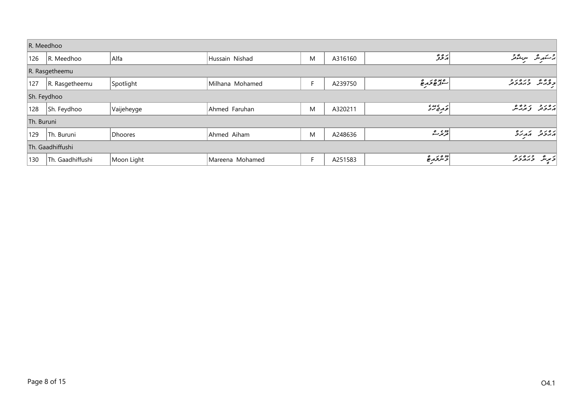| R. Meedhoo |                  |            |                 |   |         |                           |                       |                       |  |
|------------|------------------|------------|-----------------|---|---------|---------------------------|-----------------------|-----------------------|--|
| 126        | R. Meedhoo       | Alfa       | Hussain Nishad  | M | A316160 | پرویژ                     |                       | 2 كىم سىر سىر يىش قىر |  |
|            | R. Rasgetheemu   |            |                 |   |         |                           |                       |                       |  |
| 127        | R. Rasgetheemu   | Spotlight  | Milhana Mohamed | F | A239750 | وبره بحرم و               | ووثر بر دره دو        |                       |  |
|            | Sh. Feydhoo      |            |                 |   |         |                           |                       |                       |  |
| 128        | Sh. Feydhoo      | Vaijeheyge | Ahmed Faruhan   | M | A320211 | ر م ده د و<br>د هر م کر د |                       | رەرد روپر             |  |
| Th. Buruni |                  |            |                 |   |         |                           |                       |                       |  |
| 129        | Th. Buruni       | Dhoores    | Ahmed Aiham     | M | A248636 | ددې ه                     |                       | גפיק הגיפ             |  |
|            | Th. Gaadhiffushi |            |                 |   |         |                           |                       |                       |  |
| 130        | Th. Gaadhiffushi | Moon Light | Mareena Mohamed |   | A251583 | ا <i>ده و د ه</i>         | و ره ر د<br>تر پر ژمر | ئەبىرىتىر             |  |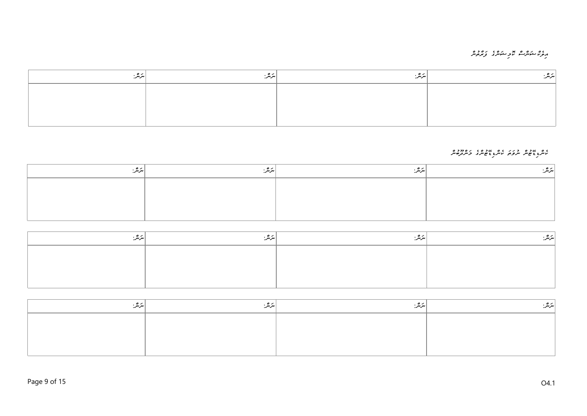## *w7qAn8m? sCw7mRo>u; wEw7mRw;sBo<*

| ' مرمر | 'يئرىثر: |
|--------|----------|
|        |          |
|        |          |
|        |          |

## *w7q9r@w7m> sCw7qHtFoFw7s; mAm=q7 w7qHtFoFw7s;*

| ىر تە | $\mathcal{O} \times$<br>$\sim$ | $\sim$<br>. . | لترنثر |
|-------|--------------------------------|---------------|--------|
|       |                                |               |        |
|       |                                |               |        |
|       |                                |               |        |

| انترنثر: | $^{\circ}$ | يبرهر | $^{\circ}$<br>سرسر |
|----------|------------|-------|--------------------|
|          |            |       |                    |
|          |            |       |                    |
|          |            |       |                    |

| ىرتىر: | 。<br>سر سر | .,<br>مرسر |
|--------|------------|------------|
|        |            |            |
|        |            |            |
|        |            |            |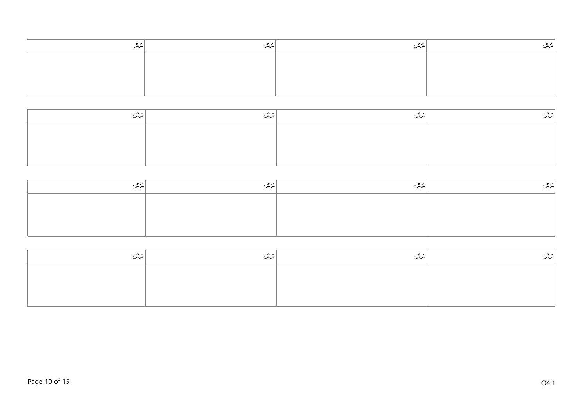| يره. | ο. | ا ير ه |  |
|------|----|--------|--|
|      |    |        |  |
|      |    |        |  |
|      |    |        |  |

| <sup>.</sup> سرسر. |  |
|--------------------|--|
|                    |  |
|                    |  |
|                    |  |

| ىئرىتر. | $\sim$ | ا بر هه. | لىرىش |
|---------|--------|----------|-------|
|         |        |          |       |
|         |        |          |       |
|         |        |          |       |

| 。<br>مرس. | $\overline{\phantom{a}}$<br>مر مىر | يتريثر |
|-----------|------------------------------------|--------|
|           |                                    |        |
|           |                                    |        |
|           |                                    |        |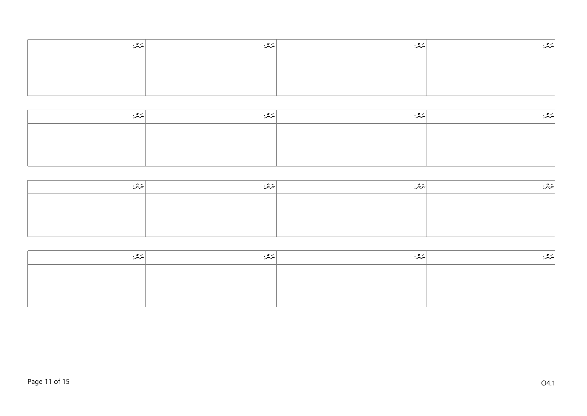| ير هو . | $\overline{\phantom{a}}$ | يرمر | اير هنه. |
|---------|--------------------------|------|----------|
|         |                          |      |          |
|         |                          |      |          |
|         |                          |      |          |

| ىر ھ | $\circ$ $\sim$<br>ا سرسر. | $\circ$ $\sim$<br>' سرسر . | o <i>~</i><br>سرسر. |
|------|---------------------------|----------------------------|---------------------|
|      |                           |                            |                     |
|      |                           |                            |                     |
|      |                           |                            |                     |

| 'تترنثر: | . .<br>يسمونس. |  |
|----------|----------------|--|
|          |                |  |
|          |                |  |
|          |                |  |

|  | . ه |
|--|-----|
|  |     |
|  |     |
|  |     |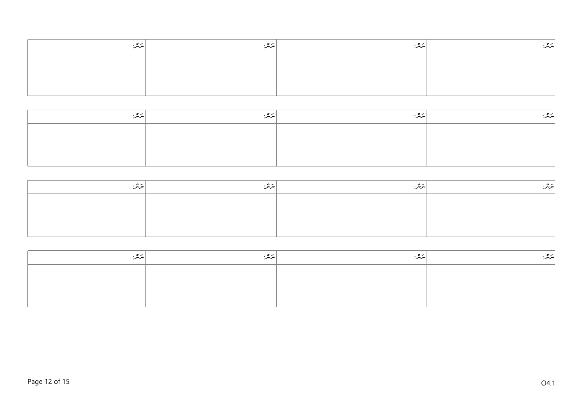| ير هو . | $\overline{\phantom{a}}$ | يرمر | اير هنه. |
|---------|--------------------------|------|----------|
|         |                          |      |          |
|         |                          |      |          |
|         |                          |      |          |

| ئىرتىر: | $\sim$<br>ا سرسر . | يئرمثر | o . |
|---------|--------------------|--------|-----|
|         |                    |        |     |
|         |                    |        |     |
|         |                    |        |     |

| انترنثر: | ر ه |  |
|----------|-----|--|
|          |     |  |
|          |     |  |
|          |     |  |

|  | . ه |
|--|-----|
|  |     |
|  |     |
|  |     |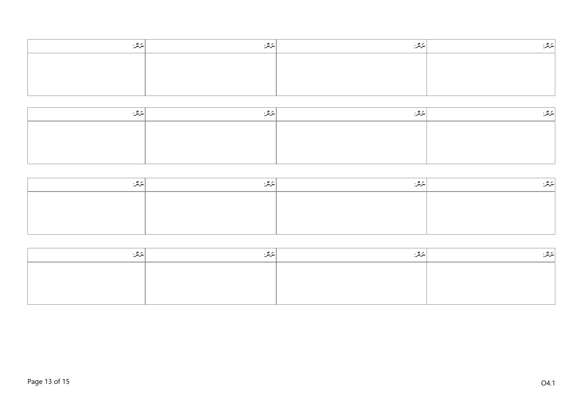| $\cdot$ | 。 | $\frac{\circ}{\cdot}$ | $\sim$<br>سرسر |
|---------|---|-----------------------|----------------|
|         |   |                       |                |
|         |   |                       |                |
|         |   |                       |                |

| يريثن | ' سرسر . |  |
|-------|----------|--|
|       |          |  |
|       |          |  |
|       |          |  |

| بر ه | 。 | $\sim$<br>َ سومس. |  |
|------|---|-------------------|--|
|      |   |                   |  |
|      |   |                   |  |
|      |   |                   |  |

| 。<br>. س | ىرىىر |  |
|----------|-------|--|
|          |       |  |
|          |       |  |
|          |       |  |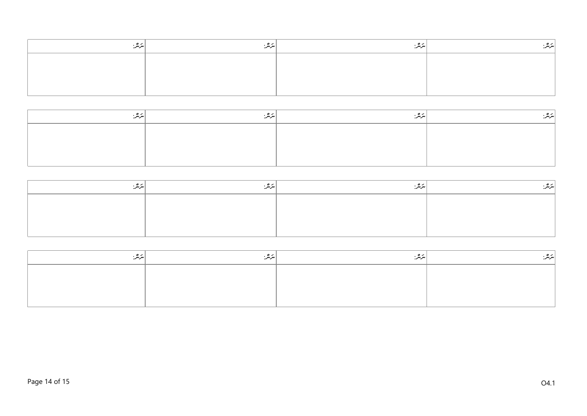| ير هو . | $\overline{\phantom{a}}$ | يرمر | اير هنه. |
|---------|--------------------------|------|----------|
|         |                          |      |          |
|         |                          |      |          |
|         |                          |      |          |

| ئىرتىر: | $\sim$<br>ا سرسر . | يئرمثر | o . |
|---------|--------------------|--------|-----|
|         |                    |        |     |
|         |                    |        |     |
|         |                    |        |     |

| الترنثر: | ' مرتكز: | الترنثر: | .,<br>سرسر. |
|----------|----------|----------|-------------|
|          |          |          |             |
|          |          |          |             |
|          |          |          |             |

|  | . ه |
|--|-----|
|  |     |
|  |     |
|  |     |